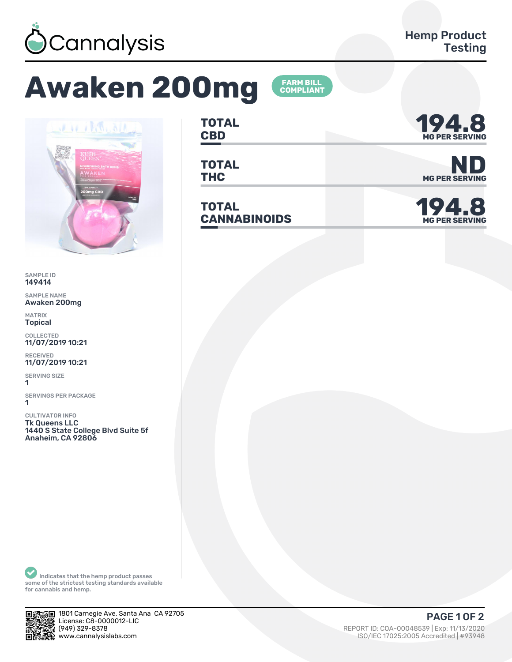

## **Awaken 200mg**



SAMPLE ID 149414

SAMPLE NAME Awaken 200mg

MATRIX Topical

COLLECTED 11/07/2019 10:21

RECEIVED 11/07/2019 10:21

SERVING SIZE 1

SERVINGS PER PACKAGE 1

CULTIVATOR INFO Tk Queens LLC 1440 S State College Blvd Suite 5f Anaheim, CA 92806

**TOTAL** TOTAL **194.8** 

**FARM BILL<br>COMPLIANT** 

**TOTAL**

**TOTAL CANNABINOIDS 194.8** 



TOTAL<br>THC MG PER SERVING



Indicates that the hemp product passes some of the strictest testing standards available for cannabis and hemp.



‰⊑ 1801 Carnegie Ave, Santa Ana CA 92705 License: C8-ǼǼǼǼǼǽǾ-LIC

ي (949) 329-8378 REPORT ID: COA-00048539 | Exp: 11/13/2020<br>المريح المستخدم المستخدم المستخدم المستخدم المستخدم المستخدم المستخدم المستخدم المستخدم المستخدم المستخدم المس<br>المستخدم المستخدم المستخدم المستخدم المستخدم المس ISO/IEC 17025:2005 Accredited | #93948 PAGE 1 OF 2